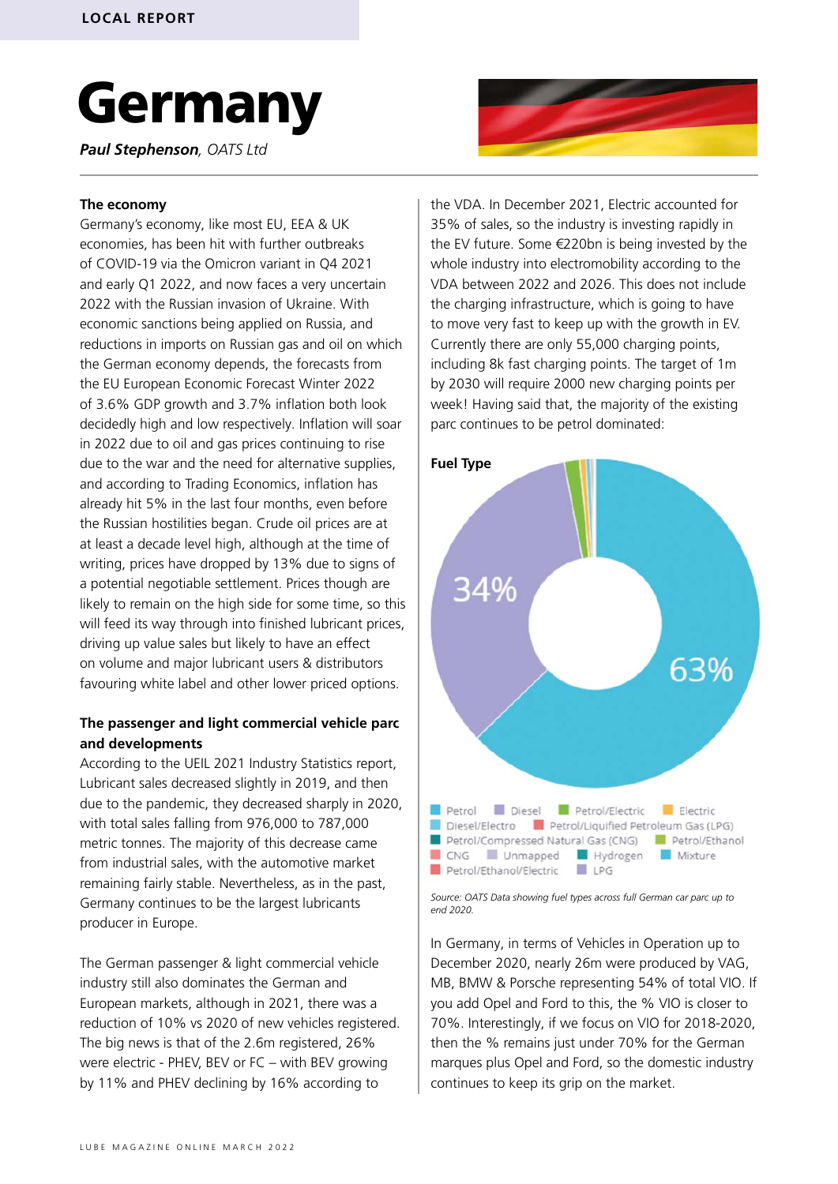# Germany

*Paul Stephenson, OATS Ltd*

#### **The economy**

Germany's economy, like most EU, EEA & UK economies, has been hit with further outbreaks of COVID-19 via the Omicron variant in Q4 2021 and early Q1 2022, and now faces a very uncertain 2022 with the Russian invasion of Ukraine. With economic sanctions being applied on Russia, and reductions in imports on Russian gas and oil on which the German economy depends, the forecasts from the EU European Economic Forecast Winter 2022 of 3.6% GDP growth and 3.7% inflation both look decidedly high and low respectively. Inflation will soar in 2022 due to oil and gas prices continuing to rise due to the war and the need for alternative supplies, and according to Trading Economics, inflation has already hit 5% in the last four months, even before the Russian hostilities began. Crude oil prices are at at least a decade level high, although at the time of writing, prices have dropped by 13% due to signs of a potential negotiable settlement. Prices though are likely to remain on the high side for some time, so this will feed its way through into finished lubricant prices, driving up value sales but likely to have an effect on volume and major lubricant users & distributors favouring white label and other lower priced options.

### **The passenger and light commercial vehicle parc and developments**

According to the UEIL 2021 Industry Statistics report, Lubricant sales decreased slightly in 2019, and then due to the pandemic, they decreased sharply in 2020, with total sales falling from 976,000 to 787,000 metric tonnes. The majority of this decrease came from industrial sales, with the automotive market remaining fairly stable. Nevertheless, as in the past, Germany continues to be the largest lubricants producer in Europe.

The German passenger & light commercial vehicle industry still also dominates the German and European markets, although in 2021, there was a reduction of 10% vs 2020 of new vehicles registered. The big news is that of the 2.6m registered, 26% were electric - PHEV, BEV or FC – with BEV growing by 11% and PHEV declining by 16% according to



the VDA. In December 2021, Electric accounted for 35% of sales, so the industry is investing rapidly in the EV future. Some €220bn is being invested by the whole industry into electromobility according to the VDA between 2022 and 2026. This does not include the charging infrastructure, which is going to have to move very fast to keep up with the growth in EV. Currently there are only 55,000 charging points, including 8k fast charging points. The target of 1m by 2030 will require 2000 new charging points per week! Having said that, the majority of the existing parc continues to be petrol dominated:



*Source: OATS Data showing fuel types across full German car parc up to end 2020.*

In Germany, in terms of Vehicles in Operation up to December 2020, nearly 26m were produced by VAG, MB, BMW & Porsche representing 54% of total VIO. If you add Opel and Ford to this, the % VIO is closer to 70%. Interestingly, if we focus on VIO for 2018-2020, then the % remains just under 70% for the German marques plus Opel and Ford, so the domestic industry continues to keep its grip on the market.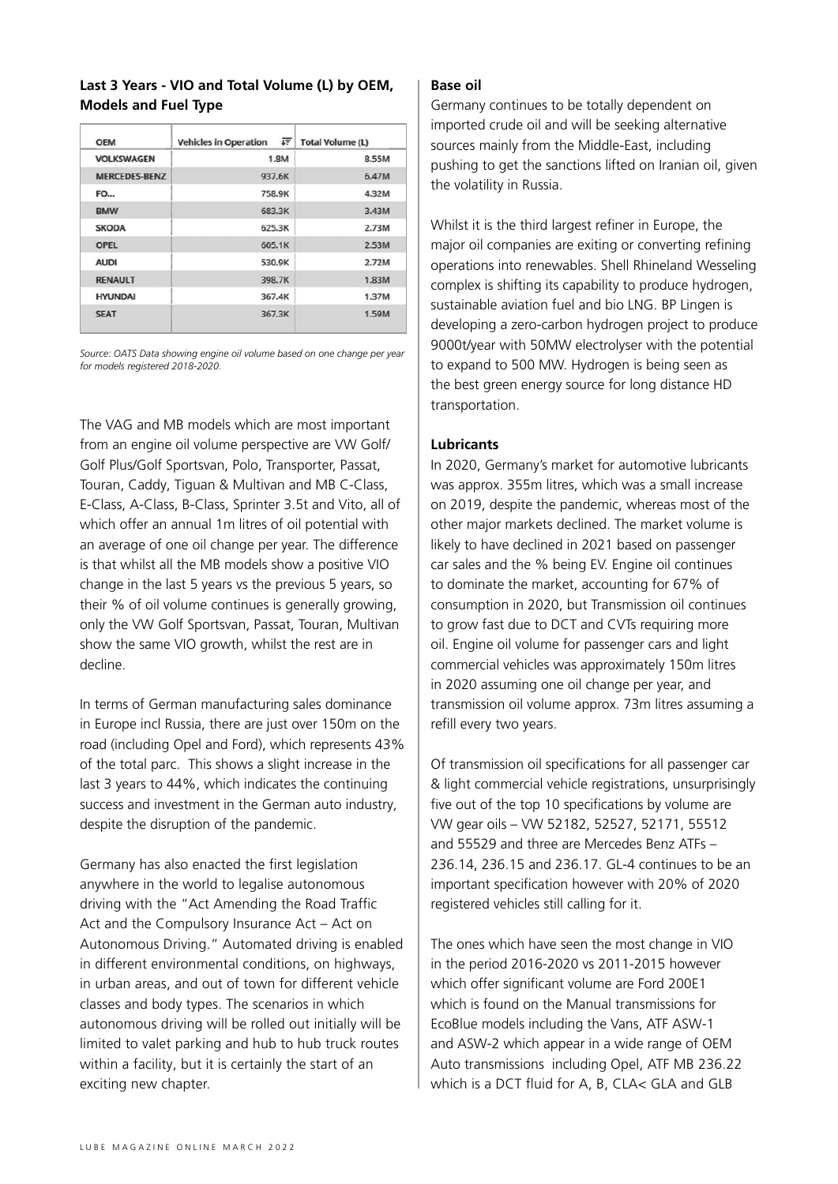## **Last 3 Years - VIO and Total Volume (L) by OEM, Models and Fuel Type**

| <b>OEM</b>           | 正<br><b>Vehicles in Operation</b> | <b>Total Volume (L)</b> |  |
|----------------------|-----------------------------------|-------------------------|--|
| <b>VOLKSWAGEN</b>    | 1.8M                              | 8.55M                   |  |
| <b>MERCEDES-BENZ</b> | 937.6K                            | 6.47M                   |  |
| <b>FO</b>            | 758.9K                            | 4.32M                   |  |
| <b>BMW</b>           | 683.3K                            | 3.43M                   |  |
| <b>SKODA</b>         | 625.3K                            | 2.73M                   |  |
| <b>OPEL</b>          | 605.1K                            | 2.53M                   |  |
| <b>AUDI</b>          | 530.9K                            | 2.72M                   |  |
| <b>RENAULT</b>       | 398.7K                            | 1.83M                   |  |
| <b>HYUNDAI</b>       | 367.4K                            | 1.37M                   |  |
| <b>SEAT</b>          | 367.3K                            | 1.59M                   |  |

*Source: OATS Data showing engine oil volume based on one change per year for models registered 2018-2020.*

The VAG and MB models which are most important from an engine oil volume perspective are VW Golf/ Golf Plus/Golf Sportsvan, Polo, Transporter, Passat, Touran, Caddy, Tiguan & Multivan and MB C-Class, E-Class, A-Class, B-Class, Sprinter 3.5t and Vito, all of which offer an annual 1m litres of oil potential with an average of one oil change per year. The difference is that whilst all the MB models show a positive VIO change in the last 5 years vs the previous 5 years, so their % of oil volume continues is generally growing, only the VW Golf Sportsvan, Passat, Touran, Multivan show the same VIO growth, whilst the rest are in decline.

In terms of German manufacturing sales dominance in Europe incl Russia, there are just over 150m on the road (including Opel and Ford), which represents 43% of the total parc. This shows a slight increase in the last 3 years to 44%, which indicates the continuing success and investment in the German auto industry, despite the disruption of the pandemic.

Germany has also enacted the first legislation anywhere in the world to legalise autonomous driving with the "Act Amending the Road Traffic Act and the Compulsory Insurance Act – Act on Autonomous Driving." Automated driving is enabled in different environmental conditions, on highways, in urban areas, and out of town for different vehicle classes and body types. The scenarios in which autonomous driving will be rolled out initially will be limited to valet parking and hub to hub truck routes within a facility, but it is certainly the start of an exciting new chapter.

### **Base oil**

Germany continues to be totally dependent on imported crude oil and will be seeking alternative sources mainly from the Middle-East, including pushing to get the sanctions lifted on Iranian oil, given the volatility in Russia.

Whilst it is the third largest refiner in Europe, the major oil companies are exiting or converting refining operations into renewables. Shell Rhineland Wesseling complex is shifting its capability to produce hydrogen, sustainable aviation fuel and bio LNG. BP Lingen is developing a zero-carbon hydrogen project to produce 9000t/year with 50MW electrolyser with the potential to expand to 500 MW. Hydrogen is being seen as the best green energy source for long distance HD transportation.

## **Lubricants**

In 2020, Germany's market for automotive lubricants was approx. 355m litres, which was a small increase on 2019, despite the pandemic, whereas most of the other major markets declined. The market volume is likely to have declined in 2021 based on passenger car sales and the % being EV. Engine oil continues to dominate the market, accounting for 67% of consumption in 2020, but Transmission oil continues to grow fast due to DCT and CVTs requiring more oil. Engine oil volume for passenger cars and light commercial vehicles was approximately 150m litres in 2020 assuming one oil change per year, and transmission oil volume approx. 73m litres assuming a refill every two years.

Of transmission oil specifications for all passenger car & light commercial vehicle registrations, unsurprisingly five out of the top 10 specifications by volume are VW gear oils – VW 52182, 52527, 52171, 55512 and 55529 and three are Mercedes Benz ATFs – 236.14, 236.15 and 236.17. GL-4 continues to be an important specification however with 20% of 2020 registered vehicles still calling for it.

The ones which have seen the most change in VIO in the period 2016-2020 vs 2011-2015 however which offer significant volume are Ford 200E1 which is found on the Manual transmissions for EcoBlue models including the Vans, ATF ASW-1 and ASW-2 which appear in a wide range of OEM Auto transmissions including Opel, ATF MB 236.22 which is a DCT fluid for A, B, CLA< GLA and GLB